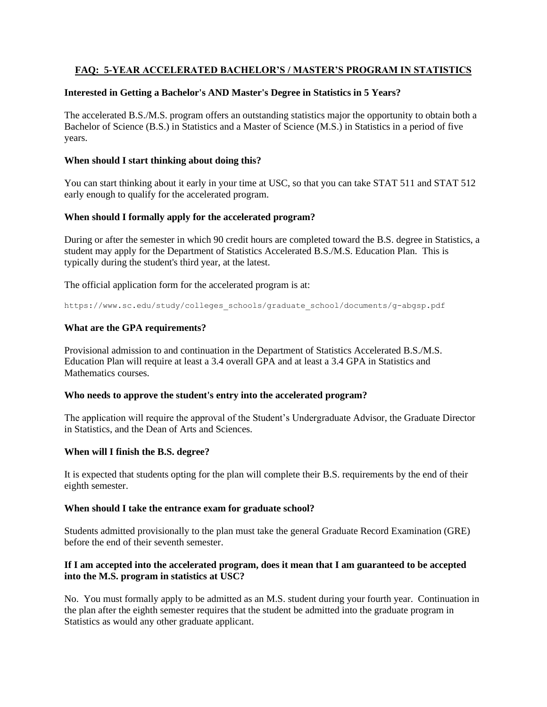# **FAQ: 5-YEAR ACCELERATED BACHELOR'S / MASTER'S PROGRAM IN STATISTICS**

### **Interested in Getting a Bachelor's AND Master's Degree in Statistics in 5 Years?**

The accelerated B.S./M.S. program offers an outstanding statistics major the opportunity to obtain both a Bachelor of Science (B.S.) in Statistics and a Master of Science (M.S.) in Statistics in a period of five years.

## **When should I start thinking about doing this?**

You can start thinking about it early in your time at USC, so that you can take STAT 511 and STAT 512 early enough to qualify for the accelerated program.

## **When should I formally apply for the accelerated program?**

During or after the semester in which 90 credit hours are completed toward the B.S. degree in Statistics, a student may apply for the Department of Statistics Accelerated B.S./M.S. Education Plan. This is typically during the student's third year, at the latest.

The official application form for the accelerated program is at:

https://www.sc.edu/study/colleges\_schools/graduate\_school/documents/g-abgsp.pdf

# **What are the GPA requirements?**

Provisional admission to and continuation in the Department of Statistics Accelerated B.S./M.S. Education Plan will require at least a 3.4 overall GPA and at least a 3.4 GPA in Statistics and Mathematics courses.

### **Who needs to approve the student's entry into the accelerated program?**

The application will require the approval of the Student's Undergraduate Advisor, the Graduate Director in Statistics, and the Dean of Arts and Sciences.

# **When will I finish the B.S. degree?**

It is expected that students opting for the plan will complete their B.S. requirements by the end of their eighth semester.

### **When should I take the entrance exam for graduate school?**

Students admitted provisionally to the plan must take the general Graduate Record Examination (GRE) before the end of their seventh semester.

## **If I am accepted into the accelerated program, does it mean that I am guaranteed to be accepted into the M.S. program in statistics at USC?**

No. You must formally apply to be admitted as an M.S. student during your fourth year. Continuation in the plan after the eighth semester requires that the student be admitted into the graduate program in Statistics as would any other graduate applicant.